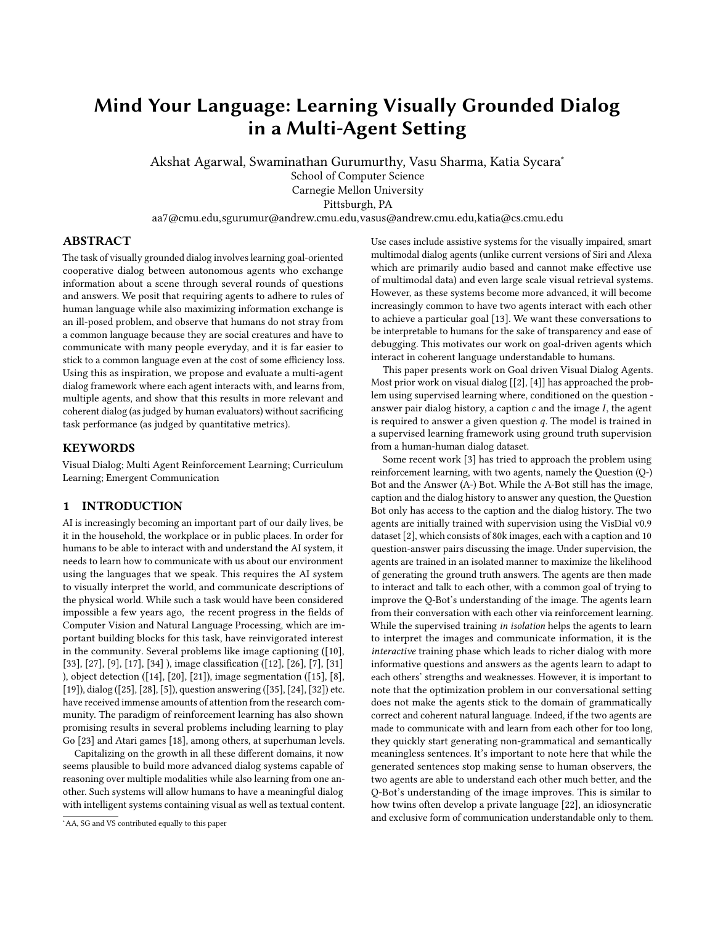# Mind Your Language: Learning Visually Grounded Dialog in a Multi-Agent Setting

Akshat Agarwal, Swaminathan Gurumurthy, Vasu Sharma, Katia Sycara<sup>∗</sup> School of Computer Science

Carnegie Mellon University

Pittsburgh, PA

aa7@cmu.edu,sgurumur@andrew.cmu.edu,vasus@andrew.cmu.edu,katia@cs.cmu.edu

## ABSTRACT

The task of visually grounded dialog involves learning goal-oriented cooperative dialog between autonomous agents who exchange information about a scene through several rounds of questions and answers. We posit that requiring agents to adhere to rules of human language while also maximizing information exchange is an ill-posed problem, and observe that humans do not stray from a common language because they are social creatures and have to communicate with many people everyday, and it is far easier to stick to a common language even at the cost of some efficiency loss. Using this as inspiration, we propose and evaluate a multi-agent dialog framework where each agent interacts with, and learns from, multiple agents, and show that this results in more relevant and coherent dialog (as judged by human evaluators) without sacrificing task performance (as judged by quantitative metrics).

## **KEYWORDS**

Visual Dialog; Multi Agent Reinforcement Learning; Curriculum Learning; Emergent Communication

# 1 INTRODUCTION

AI is increasingly becoming an important part of our daily lives, be it in the household, the workplace or in public places. In order for humans to be able to interact with and understand the AI system, it needs to learn how to communicate with us about our environment using the languages that we speak. This requires the AI system to visually interpret the world, and communicate descriptions of the physical world. While such a task would have been considered impossible a few years ago, the recent progress in the fields of Computer Vision and Natural Language Processing, which are important building blocks for this task, have reinvigorated interest in the community. Several problems like image captioning ([\[10\]](#page-7-0), [\[33\]](#page-8-0), [\[27\]](#page-8-1), [\[9\]](#page-7-1), [\[17\]](#page-7-2), [\[34\]](#page-8-2) ), image classification ([\[12\]](#page-7-3), [\[26\]](#page-8-3), [\[7\]](#page-7-4), [\[31\]](#page-8-4) ), object detection ([\[14\]](#page-7-5), [\[20\]](#page-8-5), [\[21\]](#page-8-6)), image segmentation ([\[15\]](#page-7-6), [\[8\]](#page-7-7), [\[19\]](#page-8-7)), dialog ([\[25\]](#page-8-8), [\[28\]](#page-8-9), [\[5\]](#page-7-8)), question answering ([\[35\]](#page-8-10), [\[24\]](#page-8-11), [\[32\]](#page-8-12)) etc. have received immense amounts of attention from the research community. The paradigm of reinforcement learning has also shown promising results in several problems including learning to play Go [\[23\]](#page-8-13) and Atari games [\[18\]](#page-8-14), among others, at superhuman levels.

Capitalizing on the growth in all these different domains, it now seems plausible to build more advanced dialog systems capable of reasoning over multiple modalities while also learning from one another. Such systems will allow humans to have a meaningful dialog with intelligent systems containing visual as well as textual content. Use cases include assistive systems for the visually impaired, smart multimodal dialog agents (unlike current versions of Siri and Alexa which are primarily audio based and cannot make effective use of multimodal data) and even large scale visual retrieval systems. However, as these systems become more advanced, it will become increasingly common to have two agents interact with each other to achieve a particular goal [\[13\]](#page-7-9). We want these conversations to be interpretable to humans for the sake of transparency and ease of debugging. This motivates our work on goal-driven agents which interact in coherent language understandable to humans.

This paper presents work on Goal driven Visual Dialog Agents. Most prior work on visual dialog [[\[2\]](#page-7-10), [\[4\]](#page-7-11)] has approached the problem using supervised learning where, conditioned on the question answer pair dialog history, a caption  $c$  and the image  $I$ , the agent is required to answer a given question  $q$ . The model is trained in a supervised learning framework using ground truth supervision from a human-human dialog dataset.

Some recent work [\[3\]](#page-7-12) has tried to approach the problem using reinforcement learning, with two agents, namely the Question (Q-) Bot and the Answer (A-) Bot. While the A-Bot still has the image, caption and the dialog history to answer any question, the Question Bot only has access to the caption and the dialog history. The two agents are initially trained with supervision using the VisDial v0.9 dataset [\[2\]](#page-7-10), which consists of 80k images, each with a caption and 10 question-answer pairs discussing the image. Under supervision, the agents are trained in an isolated manner to maximize the likelihood of generating the ground truth answers. The agents are then made to interact and talk to each other, with a common goal of trying to improve the Q-Bot's understanding of the image. The agents learn from their conversation with each other via reinforcement learning. While the supervised training *in isolation* helps the agents to learn to interpret the images and communicate information, it is the interactive training phase which leads to richer dialog with more informative questions and answers as the agents learn to adapt to each others' strengths and weaknesses. However, it is important to note that the optimization problem in our conversational setting does not make the agents stick to the domain of grammatically correct and coherent natural language. Indeed, if the two agents are made to communicate with and learn from each other for too long, they quickly start generating non-grammatical and semantically meaningless sentences. It's important to note here that while the generated sentences stop making sense to human observers, the two agents are able to understand each other much better, and the Q-Bot's understanding of the image improves. This is similar to how twins often develop a private language [\[22\]](#page-8-15), an idiosyncratic and exclusive form of communication understandable only to them.

<sup>∗</sup>AA, SG and VS contributed equally to this paper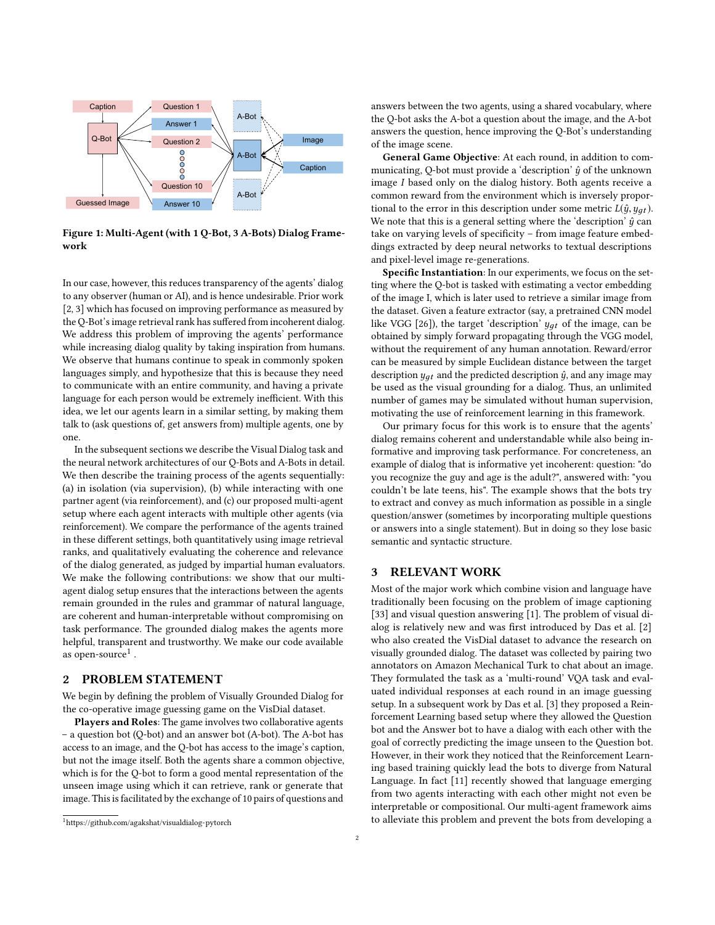

Figure 1: Multi-Agent (with 1 Q-Bot, 3 A-Bots) Dialog Framework

In our case, however, this reduces transparency of the agents' dialog to any observer (human or AI), and is hence undesirable. Prior work [\[2,](#page-7-10) [3\]](#page-7-12) which has focused on improving performance as measured by the Q-Bot's image retrieval rank has suffered from incoherent dialog. We address this problem of improving the agents' performance while increasing dialog quality by taking inspiration from humans. We observe that humans continue to speak in commonly spoken languages simply, and hypothesize that this is because they need to communicate with an entire community, and having a private language for each person would be extremely inefficient. With this idea, we let our agents learn in a similar setting, by making them talk to (ask questions of, get answers from) multiple agents, one by one.

In the subsequent sections we describe the Visual Dialog task and the neural network architectures of our Q-Bots and A-Bots in detail. We then describe the training process of the agents sequentially: (a) in isolation (via supervision), (b) while interacting with one partner agent (via reinforcement), and (c) our proposed multi-agent setup where each agent interacts with multiple other agents (via reinforcement). We compare the performance of the agents trained in these different settings, both quantitatively using image retrieval ranks, and qualitatively evaluating the coherence and relevance of the dialog generated, as judged by impartial human evaluators. We make the following contributions: we show that our multiagent dialog setup ensures that the interactions between the agents remain grounded in the rules and grammar of natural language, are coherent and human-interpretable without compromising on task performance. The grounded dialog makes the agents more helpful, transparent and trustworthy. We make our code available as open-source<sup>[1](#page-1-0)</sup>.

## 2 PROBLEM STATEMENT

We begin by defining the problem of Visually Grounded Dialog for the co-operative image guessing game on the VisDial dataset.

Players and Roles: The game involves two collaborative agents – a question bot (Q-bot) and an answer bot (A-bot). The A-bot has access to an image, and the Q-bot has access to the image's caption, but not the image itself. Both the agents share a common objective, which is for the Q-bot to form a good mental representation of the unseen image using which it can retrieve, rank or generate that image. This is facilitated by the exchange of 10 pairs of questions and answers between the two agents, using a shared vocabulary, where the Q-bot asks the A-bot a question about the image, and the A-bot answers the question, hence improving the Q-Bot's understanding of the image scene.

General Game Objective: At each round, in addition to communicating, Q-bot must provide a 'description'  $\hat{y}$  of the unknown image I based only on the dialog history. Both agents receive a common reward from the environment which is inversely proportional to the error in this description under some metric  $L(\hat{y}, y_{at})$ . We note that this is a general setting where the 'description'  $\hat{y}$  can take on varying levels of specificity – from image feature embeddings extracted by deep neural networks to textual descriptions and pixel-level image re-generations.

Specific Instantiation: In our experiments, we focus on the setting where the Q-bot is tasked with estimating a vector embedding of the image I, which is later used to retrieve a similar image from the dataset. Given a feature extractor (say, a pretrained CNN model like VGG [\[26\]](#page-8-3)), the target 'description'  $y_{at}$  of the image, can be obtained by simply forward propagating through the VGG model, without the requirement of any human annotation. Reward/error can be measured by simple Euclidean distance between the target description  $y_{qt}$  and the predicted description  $\hat{y}$ , and any image may be used as the visual grounding for a dialog. Thus, an unlimited number of games may be simulated without human supervision, motivating the use of reinforcement learning in this framework.

Our primary focus for this work is to ensure that the agents' dialog remains coherent and understandable while also being informative and improving task performance. For concreteness, an example of dialog that is informative yet incoherent: question: "do you recognize the guy and age is the adult?", answered with: "you couldn't be late teens, his". The example shows that the bots try to extract and convey as much information as possible in a single question/answer (sometimes by incorporating multiple questions or answers into a single statement). But in doing so they lose basic semantic and syntactic structure.

## 3 RELEVANT WORK

Most of the major work which combine vision and language have traditionally been focusing on the problem of image captioning [\[33\]](#page-8-0) and visual question answering [\[1\]](#page-7-13). The problem of visual dialog is relatively new and was first introduced by Das et al. [\[2\]](#page-7-10) who also created the VisDial dataset to advance the research on visually grounded dialog. The dataset was collected by pairing two annotators on Amazon Mechanical Turk to chat about an image. They formulated the task as a 'multi-round' VQA task and evaluated individual responses at each round in an image guessing setup. In a subsequent work by Das et al. [\[3\]](#page-7-12) they proposed a Reinforcement Learning based setup where they allowed the Question bot and the Answer bot to have a dialog with each other with the goal of correctly predicting the image unseen to the Question bot. However, in their work they noticed that the Reinforcement Learning based training quickly lead the bots to diverge from Natural Language. In fact [\[11\]](#page-7-14) recently showed that language emerging from two agents interacting with each other might not even be interpretable or compositional. Our multi-agent framework aims to alleviate this problem and prevent the bots from developing a

<span id="page-1-0"></span><sup>1</sup>[https://github.com/agakshat/visualdialog-pytorch]( https://github.com/agakshat/visualdialog-pytorch)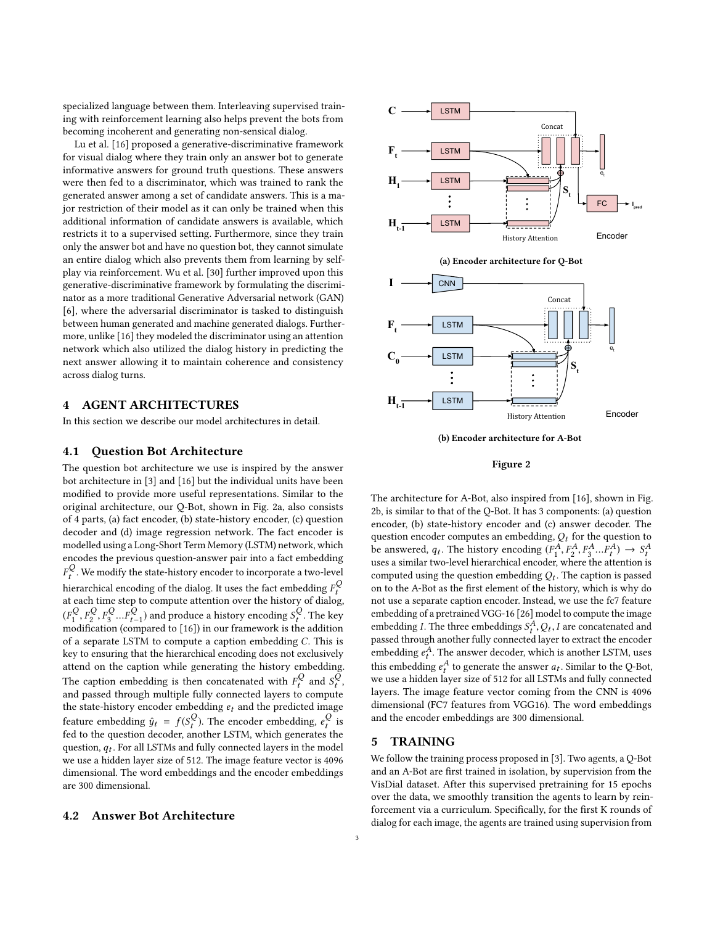specialized language between them. Interleaving supervised training with reinforcement learning also helps prevent the bots from becoming incoherent and generating non-sensical dialog.

Lu et al. [\[16\]](#page-7-15) proposed a generative-discriminative framework for visual dialog where they train only an answer bot to generate informative answers for ground truth questions. These answers were then fed to a discriminator, which was trained to rank the generated answer among a set of candidate answers. This is a major restriction of their model as it can only be trained when this additional information of candidate answers is available, which restricts it to a supervised setting. Furthermore, since they train only the answer bot and have no question bot, they cannot simulate an entire dialog which also prevents them from learning by selfplay via reinforcement. Wu et al. [\[30\]](#page-8-16) further improved upon this generative-discriminative framework by formulating the discriminator as a more traditional Generative Adversarial network (GAN) [\[6\]](#page-7-16), where the adversarial discriminator is tasked to distinguish between human generated and machine generated dialogs. Furthermore, unlike [\[16\]](#page-7-15) they modeled the discriminator using an attention network which also utilized the dialog history in predicting the next answer allowing it to maintain coherence and consistency across dialog turns.

## <span id="page-2-1"></span>4 AGENT ARCHITECTURES

In this section we describe our model architectures in detail.

#### 4.1 Question Bot Architecture

The question bot architecture we use is inspired by the answer bot architecture in [\[3\]](#page-7-12) and [\[16\]](#page-7-15) but the individual units have been modified to provide more useful representations. Similar to the original architecture, our Q-Bot, shown in Fig. [2a,](#page-2-0) also consists of 4 parts, (a) fact encoder, (b) state-history encoder, (c) question decoder and (d) image regression network. The fact encoder is modelled using a Long-Short Term Memory (LSTM) network, which encodes the previous question-answer pair into a fact embedding  $F_t$  and the linear matrix  $\frac{1}{2}$  is the fact embedding  $F_t^Q$ <br>the stach time stan to compute attention over the history of dialog  $\mathcal{Q}_t$ . We modify the state-history encoder to incorporate a two-level at each time step to compute attention over the history of dialog,  $(F_1^Q, F_2^Q)$  $Q^Q, F$  $\frac{Q}{3}...F$  $\mathcal{E}_{t-1}^{Q}$  and produce a history encoding  $\mathcal{S}_{t}^{Q}$ . The key approach to [16]) in our framework is the addition modification (compared to [\[16\]](#page-7-15)) in our framework is the addition of a separate LSTM to compute a caption embedding C. This is key to ensuring that the hierarchical encoding does not exclusively attend on the caption while generating the history embedding. The caption embedding is then concatenated with  $F_t^Q$  and  $S_t^Q$ ,<br>and passed through multiple fully connected layers to compute and passed through multiple fully connected layers to compute the state-history encoder embedding  $e_t$  and the predicted image feature embedding  $\hat{y}_t = f(S_t^Q)$ . The encoder embedding,  $e_t^Q$  is<br>fed to the question decoder another LSTM, which generates the fed to the question decoder, another LSTM, which generates the question,  $q_t$ . For all LSTMs and fully connected layers in the model<br>we use a hidden layer size of 512. The image feature vector is 4006 we use a hidden layer size of 512. The image feature vector is 4096 dimensional. The word embeddings and the encoder embeddings are 300 dimensional.

#### 4.2 Answer Bot Architecture

<span id="page-2-0"></span>

(b) Encoder architecture for A-Bot

History Attention

Encoder

#### Figure 2

The architecture for A-Bot, also inspired from [\[16\]](#page-7-15), shown in Fig. [2b,](#page-2-0) is similar to that of the Q-Bot. It has 3 components: (a) question encoder, (b) state-history encoder and (c) answer decoder. The question encoder computes an embedding,  $\mathcal{Q}_t$  for the question to be answered,  $q_t$ . The history encoding  $(F_1^A, F_2^A, F_3^A, ... F_t^A) \rightarrow S_t^A$  $\sum_{i=1}^{\infty}$  and  $\sum_{i=1}^{\infty}$  . Finally,  $\sum_{i=1}^{\infty}$  and  $\sum_{i=1}^{\infty}$  are  $\sum_{i=1}^{\infty}$  and  $\sum_{i=1}^{\infty}$  are  $\sum_{i=1}^{\infty}$  and  $\sum_{i=1}^{\infty}$  are  $\sum_{i=1}^{\infty}$  and  $\sum_{i=1}^{\infty}$  are  $\sum_{i=1}^{\infty}$  and  $\sum_{i$ computed using the question embedding  $Q_t$ . The caption is passed<br>on to the 4-Bot as the first element of the bistory, which is why do on to the A-Bot as the first element of the history, which is why do not use a separate caption encoder. Instead, we use the fc7 feature embedding of a pretrained VGG-16 [\[26\]](#page-8-3) model to compute the image embedding *I*. The three embeddings  $S_t^A$ ,  $Q_t$ , *I* are concatenated and passed through another fully connected layer to extract the encoder passed through another fully connected layer to extract the encoder embedding  $e_t^A$ . The answer decoder, which is another LSTM, uses<br>this embedding  $e^A$  to generate the enguing  $e$ . Similar to the O B of this embedding  $e_t^A$  to generate the answer  $a_t$ . Similar to the Q-Bot,<br>we use a hidden layer size of 512 for all LSTMs and fully connected we use a hidden layer size of 512 for all LSTMs and fully connected layers. The image feature vector coming from the CNN is 4096 dimensional (FC7 features from VGG16). The word embeddings and the encoder embeddings are 300 dimensional.

#### <span id="page-2-2"></span>5 TRAINING

We follow the training process proposed in [\[3\]](#page-7-12). Two agents, a Q-Bot and an A-Bot are first trained in isolation, by supervision from the VisDial dataset. After this supervised pretraining for 15 epochs over the data, we smoothly transition the agents to learn by reinforcement via a curriculum. Specifically, for the first K rounds of dialog for each image, the agents are trained using supervision from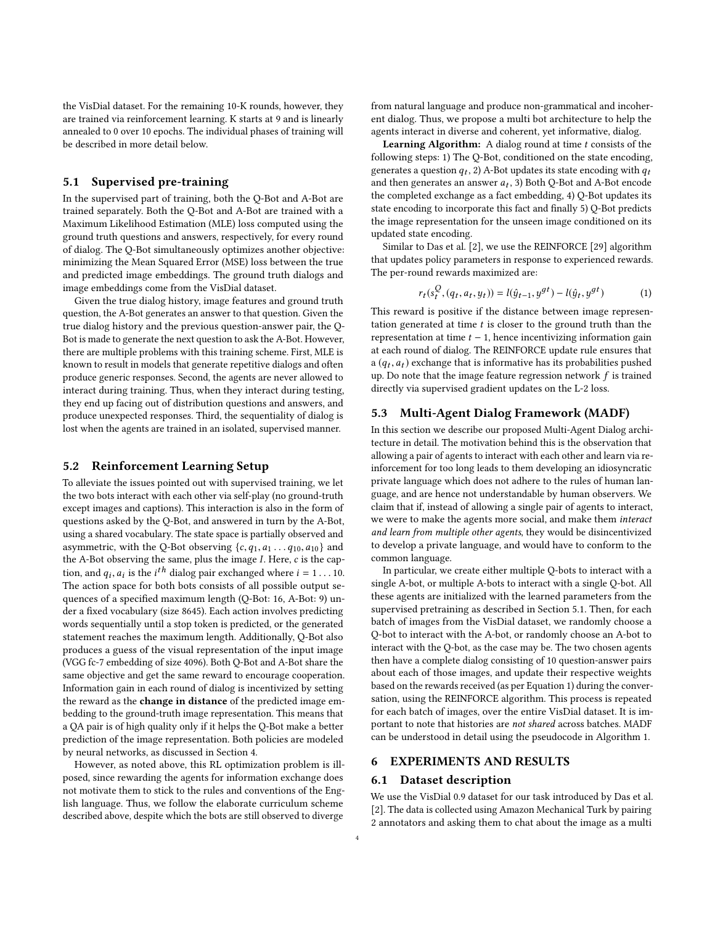the VisDial dataset. For the remaining 10-K rounds, however, they are trained via reinforcement learning. K starts at 9 and is linearly annealed to 0 over 10 epochs. The individual phases of training will be described in more detail below.

#### <span id="page-3-0"></span>5.1 Supervised pre-training

In the supervised part of training, both the Q-Bot and A-Bot are trained separately. Both the Q-Bot and A-Bot are trained with a Maximum Likelihood Estimation (MLE) loss computed using the ground truth questions and answers, respectively, for every round of dialog. The Q-Bot simultaneously optimizes another objective: minimizing the Mean Squared Error (MSE) loss between the true and predicted image embeddings. The ground truth dialogs and image embeddings come from the VisDial dataset.

Given the true dialog history, image features and ground truth question, the A-Bot generates an answer to that question. Given the true dialog history and the previous question-answer pair, the Q-Bot is made to generate the next question to ask the A-Bot. However, there are multiple problems with this training scheme. First, MLE is known to result in models that generate repetitive dialogs and often produce generic responses. Second, the agents are never allowed to interact during training. Thus, when they interact during testing, they end up facing out of distribution questions and answers, and produce unexpected responses. Third, the sequentiality of dialog is lost when the agents are trained in an isolated, supervised manner.

#### <span id="page-3-2"></span>5.2 Reinforcement Learning Setup

To alleviate the issues pointed out with supervised training, we let the two bots interact with each other via self-play (no ground-truth except images and captions). This interaction is also in the form of questions asked by the Q-Bot, and answered in turn by the A-Bot, using a shared vocabulary. The state space is partially observed and asymmetric, with the Q-Bot observing  $\{c, q_1, a_1 \ldots q_{10}, a_{10}\}$  and the A-Bot observing the same, plus the image I. Here, c is the caption, and  $q_i$ ,  $a_i$  is the  $i^{\text{th}}$  dialog pair exchanged where  $i = 1 \dots 10$ .<br>The action space for both bots consists of all possible output setion, and  $q_i$ ,  $a_i$  is the  $i^{\prime\prime}$  dialog pair exchanged where  $i = 1 \dots 10$ .<br>The action space for both bots consists of all possible output sequences of a specified maximum length (Q-Bot: 16, A-Bot: 9) under a fixed vocabulary (size 8645). Each action involves predicting words sequentially until a stop token is predicted, or the generated statement reaches the maximum length. Additionally, Q-Bot also produces a guess of the visual representation of the input image (VGG fc-7 embedding of size 4096). Both Q-Bot and A-Bot share the same objective and get the same reward to encourage cooperation. Information gain in each round of dialog is incentivized by setting the reward as the change in distance of the predicted image embedding to the ground-truth image representation. This means that a QA pair is of high quality only if it helps the Q-Bot make a better prediction of the image representation. Both policies are modeled by neural networks, as discussed in Section [4.](#page-2-1)

However, as noted above, this RL optimization problem is illposed, since rewarding the agents for information exchange does not motivate them to stick to the rules and conventions of the English language. Thus, we follow the elaborate curriculum scheme described above, despite which the bots are still observed to diverge

from natural language and produce non-grammatical and incoherent dialog. Thus, we propose a multi bot architecture to help the agents interact in diverse and coherent, yet informative, dialog.

**Learning Algorithm:** A dialog round at time  $t$  consists of the following steps: 1) The Q-Bot, conditioned on the state encoding, generates a question  $q_t$ , 2) A-Bot updates its state encoding with  $q_t$ <br>and then generates an answer  $q_t$ , 3) Both O-Bot and A-Bot encode and then generates an answer  $a_t$ , 3) Both Q-Bot and A-Bot encode<br>the completed exchange as a fact embedding 4) O-Bot undates its the completed exchange as a fact embedding, 4) Q-Bot updates its state encoding to incorporate this fact and finally 5) Q-Bot predicts the image representation for the unseen image conditioned on its updated state encoding.

Similar to Das et al. [\[2\]](#page-7-10), we use the REINFORCE [\[29\]](#page-8-17) algorithm that updates policy parameters in response to experienced rewards. The per-round rewards maximized are:

<span id="page-3-1"></span>
$$
r_t(s_t^Q, (q_t, a_t, y_t)) = l(\hat{y}_{t-1}, y^{gt}) - l(\hat{y}_t, y^{gt})
$$
 (1)

This reward is positive if the distance between image representation generated at time  $t$  is closer to the ground truth than the representation at time  $t - 1$ , hence incentivizing information gain at each round of dialog. The REINFORCE update rule ensures that a  $(q_t, a_t)$  exchange that is informative has its probabilities pushed<br>up Do note that the image feature regression network f is trained up. Do note that the image feature regression network  $f$  is trained directly via supervised gradient updates on the L-2 loss.

#### <span id="page-3-3"></span>5.3 Multi-Agent Dialog Framework (MADF)

In this section we describe our proposed Multi-Agent Dialog architecture in detail. The motivation behind this is the observation that allowing a pair of agents to interact with each other and learn via reinforcement for too long leads to them developing an idiosyncratic private language which does not adhere to the rules of human language, and are hence not understandable by human observers. We claim that if, instead of allowing a single pair of agents to interact, we were to make the agents more social, and make them interact and learn from multiple other agents, they would be disincentivized to develop a private language, and would have to conform to the common language.

In particular, we create either multiple Q-bots to interact with a single A-bot, or multiple A-bots to interact with a single Q-bot. All these agents are initialized with the learned parameters from the supervised pretraining as described in Section [5.1.](#page-3-0) Then, for each batch of images from the VisDial dataset, we randomly choose a Q-bot to interact with the A-bot, or randomly choose an A-bot to interact with the Q-bot, as the case may be. The two chosen agents then have a complete dialog consisting of 10 question-answer pairs about each of those images, and update their respective weights based on the rewards received (as per Equation [1\)](#page-3-1) during the conversation, using the REINFORCE algorithm. This process is repeated for each batch of images, over the entire VisDial dataset. It is important to note that histories are not shared across batches. MADF can be understood in detail using the pseudocode in Algorithm [1.](#page-4-0)

#### 6 EXPERIMENTS AND RESULTS

#### 6.1 Dataset description

We use the VisDial 0.9 dataset for our task introduced by Das et al. [\[2\]](#page-7-10). The data is collected using Amazon Mechanical Turk by pairing 2 annotators and asking them to chat about the image as a multi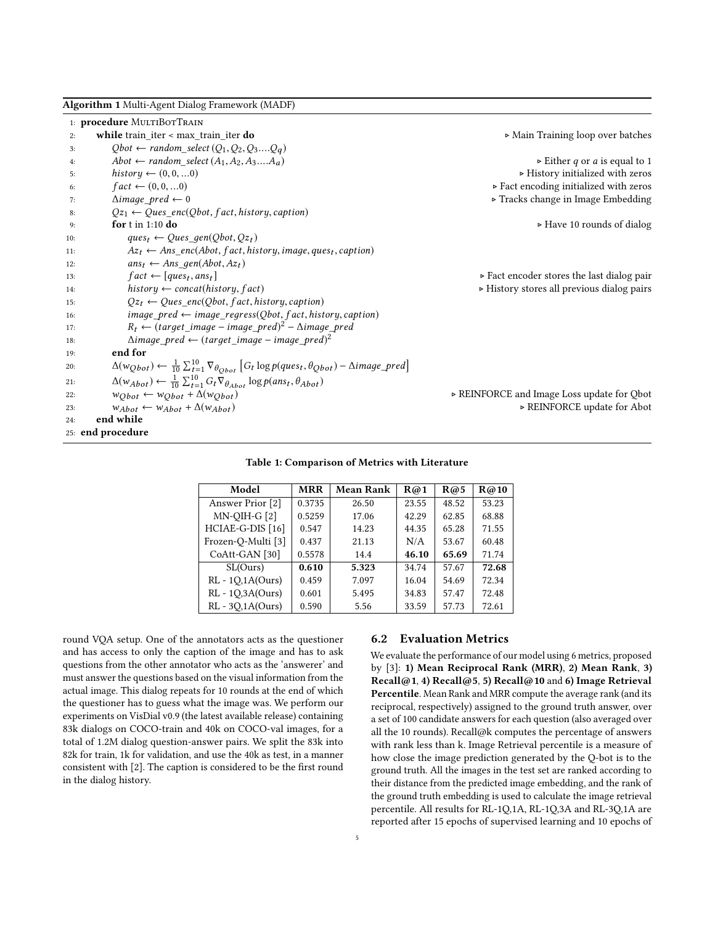<span id="page-4-0"></span>

|  | Algorithm 1 Multi-Agent Dialog Framework (MADF) |  |
|--|-------------------------------------------------|--|
|  |                                                 |  |

| $\triangleright$ Main Training loop over batches<br>while train_iter < max_train_iter do<br>2:<br>$Qbot \leftarrow random\_select(Q_1, Q_2, Q_3Q_q)$<br>3:<br>Abot $\leftarrow$ random select $(A_1, A_2, A_3, A_a)$<br>$\triangleright$ Either q or a is equal to 1<br>4:<br>history $\leftarrow (0, 0, \ldots, 0)$<br>$\triangleright$ History initialized with zeros<br>5:<br>$fact \leftarrow (0, 0, \ldots, 0)$<br>$\triangleright$ Fact encoding initialized with zeros<br>6:<br>Tracks change in Image Embedding<br>$\triangle$ <i>image</i> pred $\leftarrow$ 0<br>7:<br>$Qz_1 \leftarrow Ques\_enc(Qbot, fact, history, caption)$<br>8:<br>for $t$ in 1:10 do<br>$\triangleright$ Have 10 rounds of dialog<br>9:<br>$ques_t \leftarrow Ques \ gen(Obot, Oz_t)$<br>10:<br>$Az_t \leftarrow Ans\_enc(Abot, fact, history, image, ques_t, caption)$<br>11:<br>$ans_t \leftarrow Ans\ qen(Abot, Az_t)$<br>12:<br>$fact \leftarrow [ques_t, ans_t]$<br>$\triangleright$ Fact encoder stores the last dialog pair<br>13: |  |
|-----------------------------------------------------------------------------------------------------------------------------------------------------------------------------------------------------------------------------------------------------------------------------------------------------------------------------------------------------------------------------------------------------------------------------------------------------------------------------------------------------------------------------------------------------------------------------------------------------------------------------------------------------------------------------------------------------------------------------------------------------------------------------------------------------------------------------------------------------------------------------------------------------------------------------------------------------------------------------------------------------------------------------|--|
|                                                                                                                                                                                                                                                                                                                                                                                                                                                                                                                                                                                                                                                                                                                                                                                                                                                                                                                                                                                                                             |  |
|                                                                                                                                                                                                                                                                                                                                                                                                                                                                                                                                                                                                                                                                                                                                                                                                                                                                                                                                                                                                                             |  |
|                                                                                                                                                                                                                                                                                                                                                                                                                                                                                                                                                                                                                                                                                                                                                                                                                                                                                                                                                                                                                             |  |
|                                                                                                                                                                                                                                                                                                                                                                                                                                                                                                                                                                                                                                                                                                                                                                                                                                                                                                                                                                                                                             |  |
|                                                                                                                                                                                                                                                                                                                                                                                                                                                                                                                                                                                                                                                                                                                                                                                                                                                                                                                                                                                                                             |  |
|                                                                                                                                                                                                                                                                                                                                                                                                                                                                                                                                                                                                                                                                                                                                                                                                                                                                                                                                                                                                                             |  |
|                                                                                                                                                                                                                                                                                                                                                                                                                                                                                                                                                                                                                                                                                                                                                                                                                                                                                                                                                                                                                             |  |
|                                                                                                                                                                                                                                                                                                                                                                                                                                                                                                                                                                                                                                                                                                                                                                                                                                                                                                                                                                                                                             |  |
|                                                                                                                                                                                                                                                                                                                                                                                                                                                                                                                                                                                                                                                                                                                                                                                                                                                                                                                                                                                                                             |  |
|                                                                                                                                                                                                                                                                                                                                                                                                                                                                                                                                                                                                                                                                                                                                                                                                                                                                                                                                                                                                                             |  |
|                                                                                                                                                                                                                                                                                                                                                                                                                                                                                                                                                                                                                                                                                                                                                                                                                                                                                                                                                                                                                             |  |
|                                                                                                                                                                                                                                                                                                                                                                                                                                                                                                                                                                                                                                                                                                                                                                                                                                                                                                                                                                                                                             |  |
| $history \leftarrow concat(history, fact)$<br>$\triangleright$ History stores all previous dialog pairs<br>14:                                                                                                                                                                                                                                                                                                                                                                                                                                                                                                                                                                                                                                                                                                                                                                                                                                                                                                              |  |
| $Qz_t \leftarrow Ques\_enc(Qbot, fact, history, caption)$<br>15:                                                                                                                                                                                                                                                                                                                                                                                                                                                                                                                                                                                                                                                                                                                                                                                                                                                                                                                                                            |  |
| $image\_pred \leftarrow image\_regress(Qbot, fact, history, caption)$<br>16:                                                                                                                                                                                                                                                                                                                                                                                                                                                                                                                                                                                                                                                                                                                                                                                                                                                                                                                                                |  |
| $R_t \leftarrow (target\_image - image\_pred)^2 - \Delta image\_pred$<br>17:                                                                                                                                                                                                                                                                                                                                                                                                                                                                                                                                                                                                                                                                                                                                                                                                                                                                                                                                                |  |
| $\triangle$ image_pred $\leftarrow$ (target_image – image_pred) <sup>2</sup><br>18:                                                                                                                                                                                                                                                                                                                                                                                                                                                                                                                                                                                                                                                                                                                                                                                                                                                                                                                                         |  |
| end for<br>19:                                                                                                                                                                                                                                                                                                                                                                                                                                                                                                                                                                                                                                                                                                                                                                                                                                                                                                                                                                                                              |  |
| $\Delta(w_{Qbot}) \leftarrow \frac{1}{10} \sum_{t=1}^{10} \nabla_{\theta_{Obot}} \left[ G_t \log p(ques_t, \theta_{Qbot}) - \Delta image\_pred \right]$<br>20:                                                                                                                                                                                                                                                                                                                                                                                                                                                                                                                                                                                                                                                                                                                                                                                                                                                              |  |
| $\Delta(w_{Abot}) \leftarrow \frac{1}{10} \sum_{t=1}^{10} G_t \nabla_{\theta_{Abot}} \log p(anst, \theta_{Abot})$<br>21:                                                                                                                                                                                                                                                                                                                                                                                                                                                                                                                                                                                                                                                                                                                                                                                                                                                                                                    |  |
| $w_{Obot} \leftarrow w_{Obot} + \Delta(w_{Obot})$<br>► REINFORCE and Image Loss update for Qbot<br>22:                                                                                                                                                                                                                                                                                                                                                                                                                                                                                                                                                                                                                                                                                                                                                                                                                                                                                                                      |  |
| ► REINFORCE update for Abot<br>$w_{Abot} \leftarrow w_{Abot} + \Delta(w_{Abot})$<br>23:                                                                                                                                                                                                                                                                                                                                                                                                                                                                                                                                                                                                                                                                                                                                                                                                                                                                                                                                     |  |
| end while<br>24:                                                                                                                                                                                                                                                                                                                                                                                                                                                                                                                                                                                                                                                                                                                                                                                                                                                                                                                                                                                                            |  |
| 25: end procedure                                                                                                                                                                                                                                                                                                                                                                                                                                                                                                                                                                                                                                                                                                                                                                                                                                                                                                                                                                                                           |  |

Table 1: Comparison of Metrics with Literature

<span id="page-4-1"></span>

| Model               | <b>MRR</b> | Mean Rank | R@1   | R@5   | R@10  |
|---------------------|------------|-----------|-------|-------|-------|
| Answer Prior [2]    | 0.3735     | 26.50     | 23.55 | 48.52 | 53.23 |
| $MN-OIH-G[2]$       | 0.5259     | 17.06     | 42.29 | 62.85 | 68.88 |
| HCIAE-G-DIS [16]    | 0.547      | 14.23     | 44.35 | 65.28 | 71.55 |
| Frozen-O-Multi [3]  | 0.437      | 21.13     | N/A   | 53.67 | 60.48 |
| CoAtt-GAN [30]      | 0.5578     | 14.4      | 46.10 | 65.69 | 71.74 |
| SL(Ours)            | 0.610      | 5.323     | 34.74 | 57.67 | 72.68 |
| $RL - 10,1A(Ours)$  | 0.459      | 7.097     | 16.04 | 54.69 | 72.34 |
| RL - 10,3A(Ours)    | 0.601      | 5.495     | 34.83 | 57.47 | 72.48 |
| $RL - 3O, 1A(Ours)$ | 0.590      | 5.56      | 33.59 | 57.73 | 72.61 |

round VQA setup. One of the annotators acts as the questioner and has access to only the caption of the image and has to ask questions from the other annotator who acts as the 'answerer' and must answer the questions based on the visual information from the actual image. This dialog repeats for 10 rounds at the end of which the questioner has to guess what the image was. We perform our experiments on VisDial v0.9 (the latest available release) containing 83k dialogs on COCO-train and 40k on COCO-val images, for a total of 1.2M dialog question-answer pairs. We split the 83k into 82k for train, 1k for validation, and use the 40k as test, in a manner consistent with [\[2\]](#page-7-10). The caption is considered to be the first round in the dialog history.

## 6.2 Evaluation Metrics

We evaluate the performance of our model using 6 metrics, proposed by [\[3\]](#page-7-12): 1) Mean Reciprocal Rank (MRR), 2) Mean Rank, 3) Recall@1, 4) Recall@5, 5) Recall@10 and 6) Image Retrieval Percentile. Mean Rank and MRR compute the average rank (and its reciprocal, respectively) assigned to the ground truth answer, over a set of 100 candidate answers for each question (also averaged over all the 10 rounds). Recall@k computes the percentage of answers with rank less than k. Image Retrieval percentile is a measure of how close the image prediction generated by the Q-bot is to the ground truth. All the images in the test set are ranked according to their distance from the predicted image embedding, and the rank of the ground truth embedding is used to calculate the image retrieval percentile. All results for RL-1Q,1A, RL-1Q,3A and RL-3Q,1A are reported after 15 epochs of supervised learning and 10 epochs of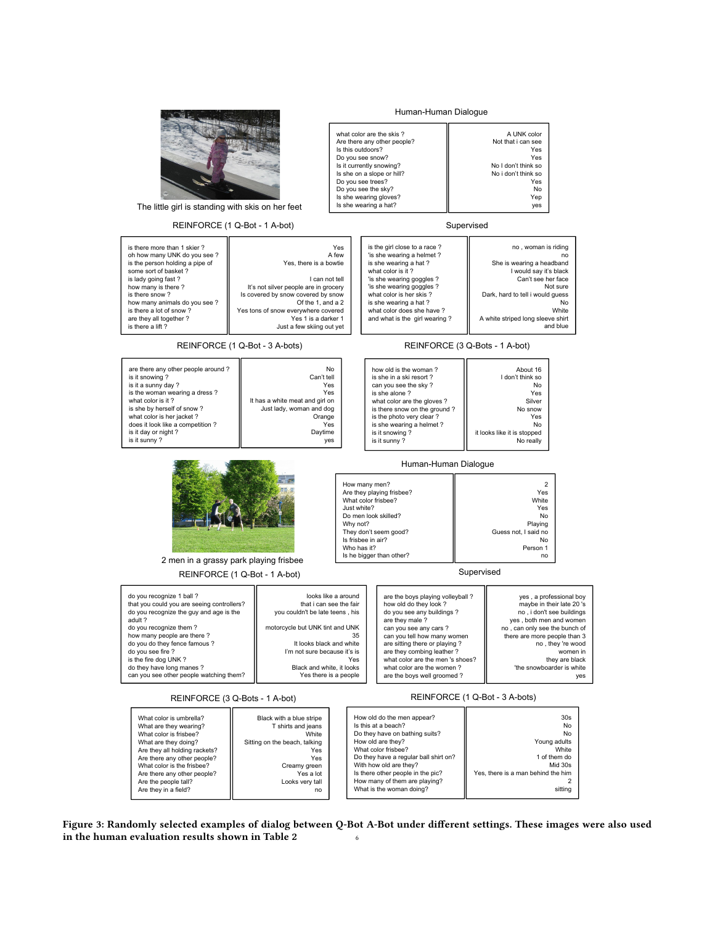<span id="page-5-0"></span>

Figure 3: Randomly selected examples of dialog between Q-Bot A-Bot under different settings. These images were also used in the human evaluation results shown in Table [2](#page-6-0)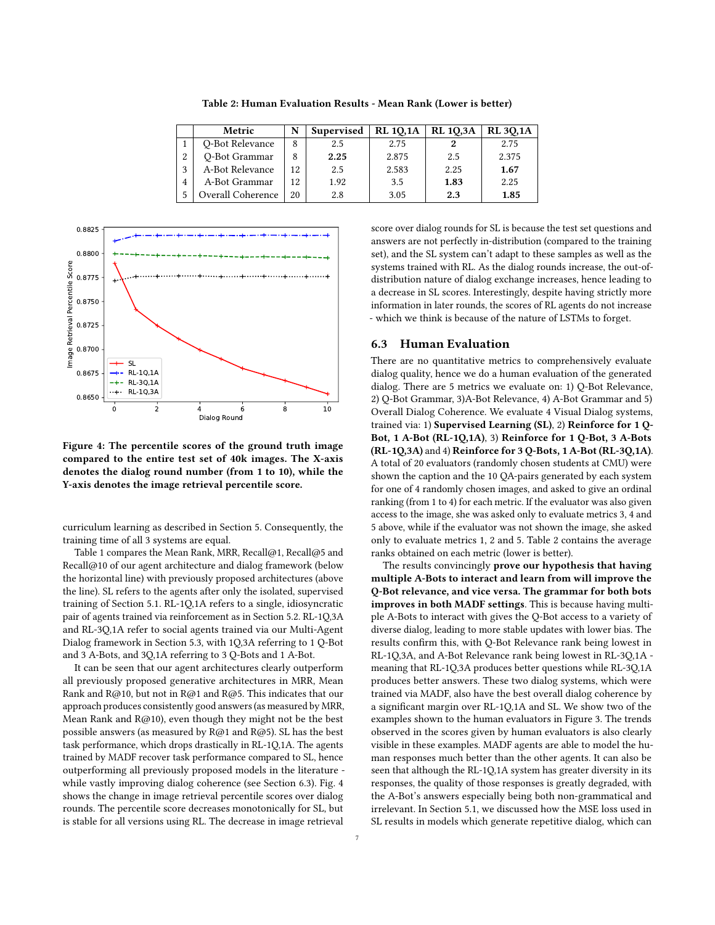<span id="page-6-0"></span>

|              | Metric                   | N  | Supervised | <b>RL 10,1A</b> | <b>RL 10,3A</b> | <b>RL 30,1A</b> |
|--------------|--------------------------|----|------------|-----------------|-----------------|-----------------|
|              | Q-Bot Relevance          | 8  | 2.5        | 2.75            |                 | 2.75            |
| 2            | O-Bot Grammar            | 8  | 2.25       | 2.875           | 2.5             | 2.375           |
| $\mathbf{z}$ | A-Bot Relevance          | 12 | 2.5        | 2.583           | 2.25            | 1.67            |
|              | A-Bot Grammar            | 12 | 1.92       | 3.5             | 1.83            | 2.25            |
|              | <b>Overall Coherence</b> | 20 | 2.8        | 3.05            | 2.3             | 1.85            |

Table 2: Human Evaluation Results - Mean Rank (Lower is better)

<span id="page-6-2"></span>

Figure 4: The percentile scores of the ground truth image compared to the entire test set of 40k images. The X-axis denotes the dialog round number (from 1 to 10), while the Y-axis denotes the image retrieval percentile score.

curriculum learning as described in Section [5.](#page-2-2) Consequently, the training time of all 3 systems are equal.

Table [1](#page-4-1) compares the Mean Rank, MRR, Recall@1, Recall@5 and Recall@10 of our agent architecture and dialog framework (below the horizontal line) with previously proposed architectures (above the line). SL refers to the agents after only the isolated, supervised training of Section [5.1.](#page-3-0) RL-1Q,1A refers to a single, idiosyncratic pair of agents trained via reinforcement as in Section [5.2.](#page-3-2) RL-1Q,3A and RL-3Q,1A refer to social agents trained via our Multi-Agent Dialog framework in Section [5.3,](#page-3-3) with 1Q,3A referring to 1 Q-Bot and 3 A-Bots, and 3Q,1A referring to 3 Q-Bots and 1 A-Bot.

It can be seen that our agent architectures clearly outperform all previously proposed generative architectures in MRR, Mean Rank and R@10, but not in R@1 and R@5. This indicates that our approach produces consistently good answers (as measured by MRR, Mean Rank and R@10), even though they might not be the best possible answers (as measured by R@1 and R@5). SL has the best task performance, which drops drastically in RL-1Q,1A. The agents trained by MADF recover task performance compared to SL, hence outperforming all previously proposed models in the literature while vastly improving dialog coherence (see Section [6.3\)](#page-6-1). Fig. [4](#page-6-2) shows the change in image retrieval percentile scores over dialog rounds. The percentile score decreases monotonically for SL, but is stable for all versions using RL. The decrease in image retrieval

score over dialog rounds for SL is because the test set questions and answers are not perfectly in-distribution (compared to the training set), and the SL system can't adapt to these samples as well as the systems trained with RL. As the dialog rounds increase, the out-ofdistribution nature of dialog exchange increases, hence leading to a decrease in SL scores. Interestingly, despite having strictly more information in later rounds, the scores of RL agents do not increase - which we think is because of the nature of LSTMs to forget.

#### <span id="page-6-1"></span>6.3 Human Evaluation

There are no quantitative metrics to comprehensively evaluate dialog quality, hence we do a human evaluation of the generated dialog. There are 5 metrics we evaluate on: 1) Q-Bot Relevance, 2) Q-Bot Grammar, 3)A-Bot Relevance, 4) A-Bot Grammar and 5) Overall Dialog Coherence. We evaluate 4 Visual Dialog systems, trained via: 1) Supervised Learning (SL), 2) Reinforce for 1 Q-Bot, 1 A-Bot (RL-1Q,1A), 3) Reinforce for 1 Q-Bot, 3 A-Bots (RL-1Q,3A) and 4) Reinforce for 3 Q-Bots, 1 A-Bot (RL-3Q,1A). A total of 20 evaluators (randomly chosen students at CMU) were shown the caption and the 10 QA-pairs generated by each system for one of 4 randomly chosen images, and asked to give an ordinal ranking (from 1 to 4) for each metric. If the evaluator was also given access to the image, she was asked only to evaluate metrics 3, 4 and 5 above, while if the evaluator was not shown the image, she asked only to evaluate metrics 1, 2 and 5. Table [2](#page-6-0) contains the average ranks obtained on each metric (lower is better).

The results convincingly prove our hypothesis that having multiple A-Bots to interact and learn from will improve the Q-Bot relevance, and vice versa. The grammar for both bots improves in both MADF settings. This is because having multiple A-Bots to interact with gives the Q-Bot access to a variety of diverse dialog, leading to more stable updates with lower bias. The results confirm this, with Q-Bot Relevance rank being lowest in RL-1Q,3A, and A-Bot Relevance rank being lowest in RL-3Q,1A meaning that RL-1Q,3A produces better questions while RL-3Q,1A produces better answers. These two dialog systems, which were trained via MADF, also have the best overall dialog coherence by a significant margin over RL-1Q,1A and SL. We show two of the examples shown to the human evaluators in Figure [3.](#page-5-0) The trends observed in the scores given by human evaluators is also clearly visible in these examples. MADF agents are able to model the human responses much better than the other agents. It can also be seen that although the RL-1Q,1A system has greater diversity in its responses, the quality of those responses is greatly degraded, with the A-Bot's answers especially being both non-grammatical and irrelevant. In Section [5.1,](#page-3-0) we discussed how the MSE loss used in SL results in models which generate repetitive dialog, which can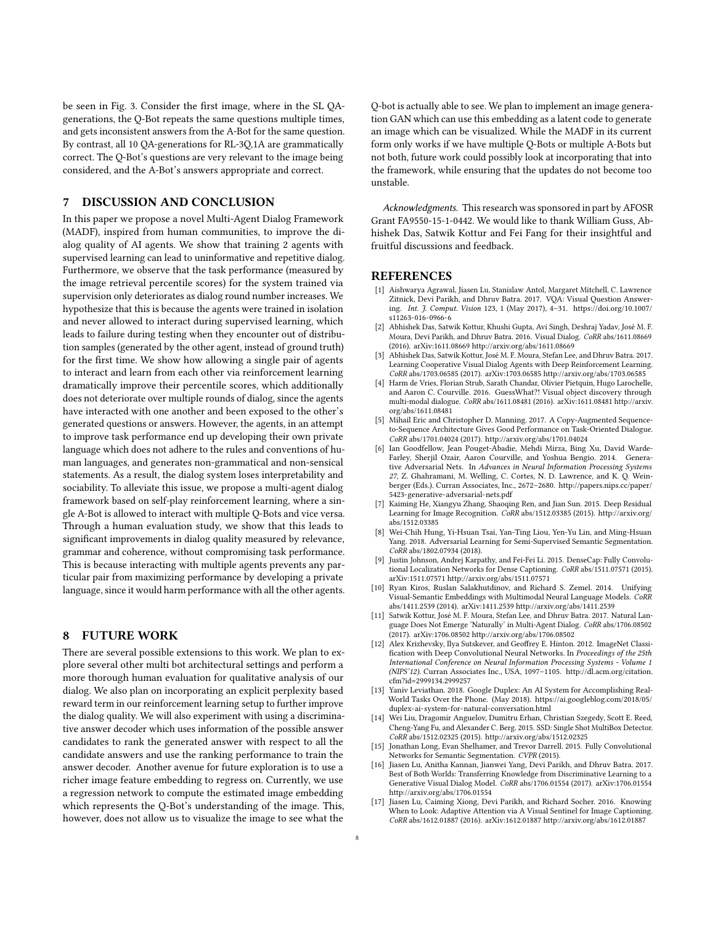be seen in Fig. [3.](#page-5-0) Consider the first image, where in the SL QAgenerations, the Q-Bot repeats the same questions multiple times, and gets inconsistent answers from the A-Bot for the same question. By contrast, all 10 QA-generations for RL-3Q,1A are grammatically correct. The Q-Bot's questions are very relevant to the image being considered, and the A-Bot's answers appropriate and correct.

#### 7 DISCUSSION AND CONCLUSION

In this paper we propose a novel Multi-Agent Dialog Framework (MADF), inspired from human communities, to improve the dialog quality of AI agents. We show that training 2 agents with supervised learning can lead to uninformative and repetitive dialog. Furthermore, we observe that the task performance (measured by the image retrieval percentile scores) for the system trained via supervision only deteriorates as dialog round number increases. We hypothesize that this is because the agents were trained in isolation and never allowed to interact during supervised learning, which leads to failure during testing when they encounter out of distribution samples (generated by the other agent, instead of ground truth) for the first time. We show how allowing a single pair of agents to interact and learn from each other via reinforcement learning dramatically improve their percentile scores, which additionally does not deteriorate over multiple rounds of dialog, since the agents have interacted with one another and been exposed to the other's generated questions or answers. However, the agents, in an attempt to improve task performance end up developing their own private language which does not adhere to the rules and conventions of human languages, and generates non-grammatical and non-sensical statements. As a result, the dialog system loses interpretability and sociability. To alleviate this issue, we propose a multi-agent dialog framework based on self-play reinforcement learning, where a single A-Bot is allowed to interact with multiple Q-Bots and vice versa. Through a human evaluation study, we show that this leads to significant improvements in dialog quality measured by relevance, grammar and coherence, without compromising task performance. This is because interacting with multiple agents prevents any particular pair from maximizing performance by developing a private language, since it would harm performance with all the other agents.

## 8 FUTURE WORK

There are several possible extensions to this work. We plan to explore several other multi bot architectural settings and perform a more thorough human evaluation for qualitative analysis of our dialog. We also plan on incorporating an explicit perplexity based reward term in our reinforcement learning setup to further improve the dialog quality. We will also experiment with using a discriminative answer decoder which uses information of the possible answer candidates to rank the generated answer with respect to all the candidate answers and use the ranking performance to train the answer decoder. Another avenue for future exploration is to use a richer image feature embedding to regress on. Currently, we use a regression network to compute the estimated image embedding which represents the Q-Bot's understanding of the image. This, however, does not allow us to visualize the image to see what the

Q-bot is actually able to see. We plan to implement an image generation GAN which can use this embedding as a latent code to generate an image which can be visualized. While the MADF in its current form only works if we have multiple Q-Bots or multiple A-Bots but not both, future work could possibly look at incorporating that into the framework, while ensuring that the updates do not become too unstable.

Acknowledgments. This research was sponsored in part by AFOSR Grant FA9550-15-1-0442. We would like to thank William Guss, Abhishek Das, Satwik Kottur and Fei Fang for their insightful and fruitful discussions and feedback.

#### REFERENCES

- <span id="page-7-13"></span>[1] Aishwarya Agrawal, Jiasen Lu, Stanislaw Antol, Margaret Mitchell, C. Lawrence Zitnick, Devi Parikh, and Dhruv Batra. 2017. VQA: Visual Question Answering. Int. J. Comput. Vision 123, 1 (May 2017), 4–31. [https://doi.org/10.1007/](https://doi.org/10.1007/s11263-016-0966-6) [s11263-016-0966-6](https://doi.org/10.1007/s11263-016-0966-6)
- <span id="page-7-10"></span>[2] Abhishek Das, Satwik Kottur, Khushi Gupta, Avi Singh, Deshraj Yadav, José M. F. Moura, Devi Parikh, and Dhruv Batra. 2016. Visual Dialog. CoRR abs/1611.08669 (2016). arXiv[:1611.08669 http://arxiv.org/abs/1611.08669](http://arxiv.org/abs/1611.08669)
- <span id="page-7-12"></span>Abhishek Das, Satwik Kottur, José M. F. Moura, Stefan Lee, and Dhruv Batra. 2017. Learning Cooperative Visual Dialog Agents with Deep Reinforcement Learning. CoRR abs/1703.06585 (2017). arXiv[:1703.06585 http://arxiv.org/abs/1703.06585](http://arxiv.org/abs/1703.06585)
- <span id="page-7-11"></span>[4] Harm de Vries, Florian Strub, Sarath Chandar, Olivier Pietquin, Hugo Larochelle, and Aaron C. Courville. 2016. GuessWhat?! Visual object discovery through multi-modal dialogue. CoRR abs/1611.08481 (2016). arXiv[:1611.08481 http://arxiv.](http://arxiv.org/abs/1611.08481) [org/abs/1611.08481](http://arxiv.org/abs/1611.08481)
- <span id="page-7-8"></span>[5] Mihail Eric and Christopher D. Manning. 2017. A Copy-Augmented Sequenceto-Sequence Architecture Gives Good Performance on Task-Oriented Dialogue. CoRR abs/1701.04024 (2017).<http://arxiv.org/abs/1701.04024>
- <span id="page-7-16"></span>[6] Ian Goodfellow, Jean Pouget-Abadie, Mehdi Mirza, Bing Xu, David Warde-Farley, Sherjil Ozair, Aaron Courville, and Yoshua Bengio. 2014. Generative Adversarial Nets. In Advances in Neural Information Processing Systems 27, Z. Ghahramani, M. Welling, C. Cortes, N. D. Lawrence, and K. Q. Weinberger (Eds.). Curran Associates, Inc., 2672–2680. [http://papers.nips.cc/paper/](http://papers.nips.cc/paper/5423-generative-adversarial-nets.pdf) [5423-generative-adversarial-nets.pdf](http://papers.nips.cc/paper/5423-generative-adversarial-nets.pdf)
- <span id="page-7-4"></span>[7] Kaiming He, Xiangyu Zhang, Shaoqing Ren, and Jian Sun. 2015. Deep Residual Learning for Image Recognition. CoRR abs/1512.03385 (2015). [http://arxiv.org/](http://arxiv.org/abs/1512.03385) [abs/1512.03385](http://arxiv.org/abs/1512.03385)
- <span id="page-7-7"></span>[8] Wei-Chih Hung, Yi-Hsuan Tsai, Yan-Ting Liou, Yen-Yu Lin, and Ming-Hsuan Yang. 2018. Adversarial Learning for Semi-Supervised Semantic Segmentation. CoRR abs/1802.07934 (2018).
- <span id="page-7-1"></span>[9] Justin Johnson, Andrej Karpathy, and Fei-Fei Li. 2015. DenseCap: Fully Convolutional Localization Networks for Dense Captioning. CoRR abs/1511.07571 (2015). arXiv[:1511.07571 http://arxiv.org/abs/1511.07571](http://arxiv.org/abs/1511.07571)
- <span id="page-7-0"></span>[10] Ryan Kiros, Ruslan Salakhutdinov, and Richard S. Zemel. 2014. Unifying Visual-Semantic Embeddings with Multimodal Neural Language Models. CoRR abs/1411.2539 (2014). arXiv[:1411.2539 http://arxiv.org/abs/1411.2539](http://arxiv.org/abs/1411.2539)
- <span id="page-7-14"></span>[11] Satwik Kottur, José M. F. Moura, Stefan Lee, and Dhruv Batra. 2017. Natural Language Does Not Emerge 'Naturally' in Multi-Agent Dialog. CoRR abs/1706.08502 (2017). arXiv[:1706.08502 http://arxiv.org/abs/1706.08502](http://arxiv.org/abs/1706.08502)
- <span id="page-7-3"></span>[12] Alex Krizhevsky, Ilya Sutskever, and Geoffrey E. Hinton. 2012. ImageNet Classification with Deep Convolutional Neural Networks. In Proceedings of the 25th International Conference on Neural Information Processing Systems - Volume 1 (NIPS'12). Curran Associates Inc., USA, 1097–1105. [http://dl.acm.org/citation.](http://dl.acm.org/citation.cfm?id=2999134.2999257) [cfm?id=2999134.2999257](http://dl.acm.org/citation.cfm?id=2999134.2999257)
- <span id="page-7-9"></span>[13] Yaniv Leviathan. 2018. Google Duplex: An AI System for Accomplishing Real-World Tasks Over the Phone. (May 2018). [https://ai.googleblog.com/2018/05/](https://ai.googleblog.com/2018/05/duplex-ai-system-for-natural-conversation.html) [duplex-ai-system-for-natural-conversation.html](https://ai.googleblog.com/2018/05/duplex-ai-system-for-natural-conversation.html)
- <span id="page-7-5"></span>[14] Wei Liu, Dragomir Anguelov, Dumitru Erhan, Christian Szegedy, Scott E. Reed, Cheng-Yang Fu, and Alexander C. Berg. 2015. SSD: Single Shot MultiBox Detector. CoRR abs/1512.02325 (2015).<http://arxiv.org/abs/1512.02325>
- <span id="page-7-6"></span>[15] Jonathan Long, Evan Shelhamer, and Trevor Darrell. 2015. Fully Convolutional Networks for Semantic Segmentation. CVPR (2015).
- <span id="page-7-15"></span>[16] Jiasen Lu, Anitha Kannan, Jianwei Yang, Devi Parikh, and Dhruv Batra. 2017. Best of Both Worlds: Transferring Knowledge from Discriminative Learning to a Generative Visual Dialog Model. CoRR abs/1706.01554 (2017). arXiv[:1706.01554](http://arxiv.org/abs/1706.01554) <http://arxiv.org/abs/1706.01554>
- <span id="page-7-2"></span>[17] Jiasen Lu, Caiming Xiong, Devi Parikh, and Richard Socher. 2016. Knowing When to Look: Adaptive Attention via A Visual Sentinel for Image Captioning. CoRR abs/1612.01887 (2016). arXiv[:1612.01887 http://arxiv.org/abs/1612.01887](http://arxiv.org/abs/1612.01887)